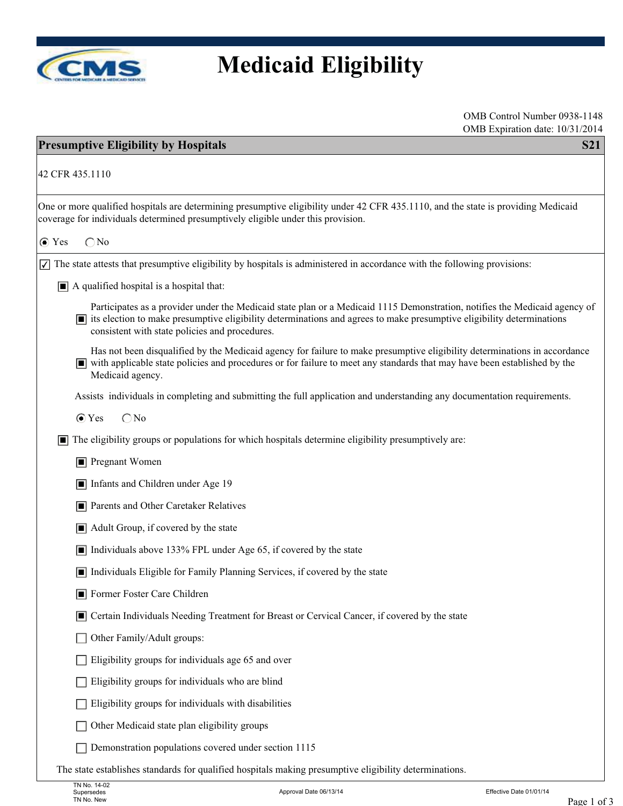

## **Medicaid Eligibility**

| OMB Expiration date: 10/31/2014<br><b>Presumptive Eligibility by Hospitals</b><br><b>S21</b>                                                                                                                                                                                                                         |
|----------------------------------------------------------------------------------------------------------------------------------------------------------------------------------------------------------------------------------------------------------------------------------------------------------------------|
| 42 CFR 435.1110                                                                                                                                                                                                                                                                                                      |
| One or more qualified hospitals are determining presumptive eligibility under 42 CFR 435.1110, and the state is providing Medicaid<br>coverage for individuals determined presumptively eligible under this provision.                                                                                               |
| $\bigcirc$ No<br>$\odot$ Yes                                                                                                                                                                                                                                                                                         |
| $\sqrt{\sqrt{ }}$ The state attests that presumptive eligibility by hospitals is administered in accordance with the following provisions:                                                                                                                                                                           |
| $\blacksquare$ A qualified hospital is a hospital that:                                                                                                                                                                                                                                                              |
| Participates as a provider under the Medicaid state plan or a Medicaid 1115 Demonstration, notifies the Medicaid agency of<br>$\blacksquare$ its election to make presumptive eligibility determinations and agrees to make presumptive eligibility determinations<br>consistent with state policies and procedures. |
| Has not been disqualified by the Medicaid agency for failure to make presumptive eligibility determinations in accordance<br>with applicable state policies and procedures or for failure to meet any standards that may have been established by the<br>Medicaid agency.                                            |
| Assists individuals in completing and submitting the full application and understanding any documentation requirements.                                                                                                                                                                                              |
| $\bigcirc$ No<br>$\odot$ Yes                                                                                                                                                                                                                                                                                         |
| The eligibility groups or populations for which hospitals determine eligibility presumptively are:<br>IЦ                                                                                                                                                                                                             |
| $\blacksquare$ Pregnant Women                                                                                                                                                                                                                                                                                        |
| Infants and Children under Age 19                                                                                                                                                                                                                                                                                    |
| Parents and Other Caretaker Relatives                                                                                                                                                                                                                                                                                |
| $\blacksquare$ Adult Group, if covered by the state                                                                                                                                                                                                                                                                  |
| $\blacksquare$ Individuals above 133% FPL under Age 65, if covered by the state                                                                                                                                                                                                                                      |
| Individuals Eligible for Family Planning Services, if covered by the state                                                                                                                                                                                                                                           |
| Former Foster Care Children                                                                                                                                                                                                                                                                                          |
| Certain Individuals Needing Treatment for Breast or Cervical Cancer, if covered by the state<br>п                                                                                                                                                                                                                    |
| Other Family/Adult groups:                                                                                                                                                                                                                                                                                           |
| Eligibility groups for individuals age 65 and over                                                                                                                                                                                                                                                                   |
| Eligibility groups for individuals who are blind                                                                                                                                                                                                                                                                     |
| Eligibility groups for individuals with disabilities                                                                                                                                                                                                                                                                 |
| Other Medicaid state plan eligibility groups                                                                                                                                                                                                                                                                         |
| Demonstration populations covered under section 1115                                                                                                                                                                                                                                                                 |
| The state establishes standards for qualified hospitals making presumptive eligibility determinations.                                                                                                                                                                                                               |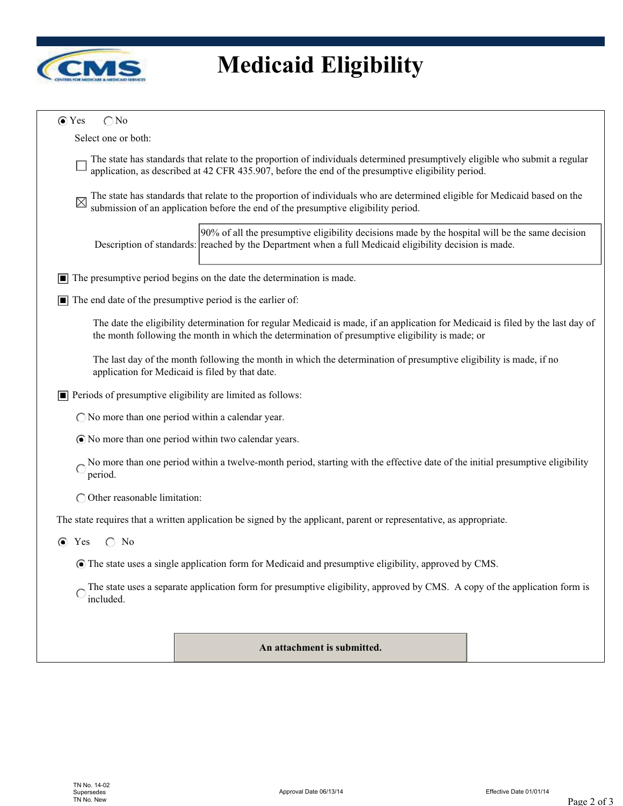

## **Medicaid Eligibility**

| $\odot$ Yes<br>$\bigcirc$ No                                                                                                                                                                                                       |
|------------------------------------------------------------------------------------------------------------------------------------------------------------------------------------------------------------------------------------|
| Select one or both:                                                                                                                                                                                                                |
| The state has standards that relate to the proportion of individuals determined presumptively eligible who submit a regular<br>application, as described at 42 CFR 435.907, before the end of the presumptive eligibility period.  |
| The state has standards that relate to the proportion of individuals who are determined eligible for Medicaid based on the<br>submission of an application before the end of the presumptive eligibility period.                   |
| 90% of all the presumptive eligibility decisions made by the hospital will be the same decision<br>Description of standards: reached by the Department when a full Medicaid eligibility decision is made.                          |
| The presumptive period begins on the date the determination is made.                                                                                                                                                               |
| The end date of the presumptive period is the earlier of:<br>П                                                                                                                                                                     |
| The date the eligibility determination for regular Medicaid is made, if an application for Medicaid is filed by the last day of<br>the month following the month in which the determination of presumptive eligibility is made; or |
| The last day of the month following the month in which the determination of presumptive eligibility is made, if no<br>application for Medicaid is filed by that date.                                                              |
| Periods of presumptive eligibility are limited as follows:<br>О                                                                                                                                                                    |
| $\bigcirc$ No more than one period within a calendar year.                                                                                                                                                                         |
| • No more than one period within two calendar years.                                                                                                                                                                               |
| No more than one period within a twelve-month period, starting with the effective date of the initial presumptive eligibility<br>period.                                                                                           |
| $\bigcirc$ Other reasonable limitation:                                                                                                                                                                                            |
| The state requires that a written application be signed by the applicant, parent or representative, as appropriate.                                                                                                                |
| Yes<br>$\bigcirc$ No<br>$\bullet$                                                                                                                                                                                                  |
| The state uses a single application form for Medicaid and presumptive eligibility, approved by CMS.                                                                                                                                |
| The state uses a separate application form for presumptive eligibility, approved by CMS. A copy of the application form is<br>included.                                                                                            |
|                                                                                                                                                                                                                                    |
| An attachment is submitted.                                                                                                                                                                                                        |